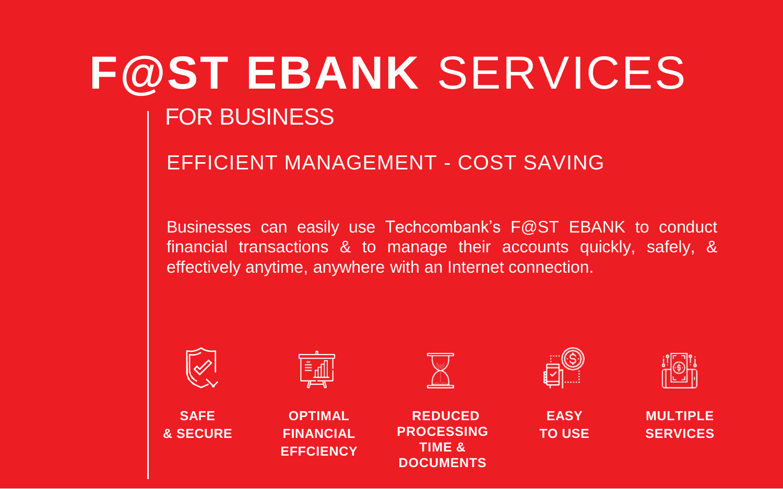# **F@ST EBANK** SERVICES

## FOR BUSINESS

**& SECURE**

**FINANCIAL EFFCIENCY**

## EFFICIENT MANAGEMENT - COST SAVING

Businesses can easily use Techcombank's F@ST EBANK to conduct financial transactions & to manage their accounts quickly, safely, & effectively anytime, anywhere with an Internet connection.



**PROCESSING TIME & DOCUMENTS**

**SERVICES**

**TO USE**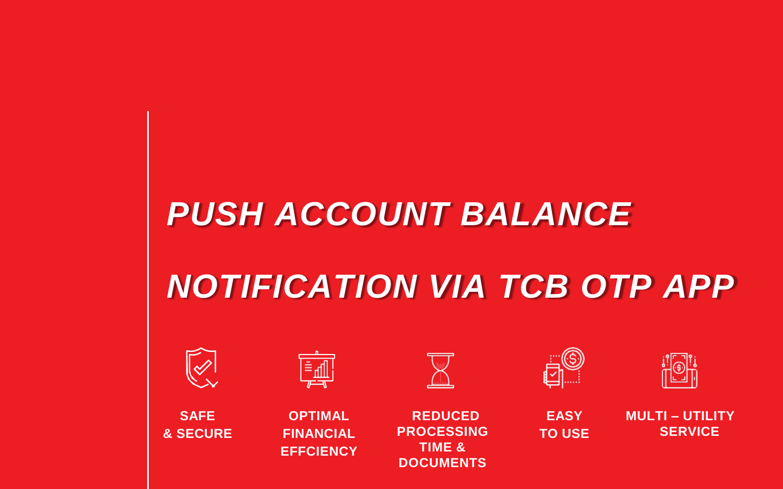## *PUSH ACCOUNT BALANCE*

## *NOTIFICATION VIA TCB OTP APP*



**SAFE & SECURE**

| -<br>_<br>_ |
|-------------|

**OPTIMAL FINANCIAL EFFCIENCY**



**REDUCED PROCESSING TIME & DOCUMENTS**



**EASY TO USE**

|                | <b>MULTI - UTILITY</b> |
|----------------|------------------------|
| <b>SERVICE</b> |                        |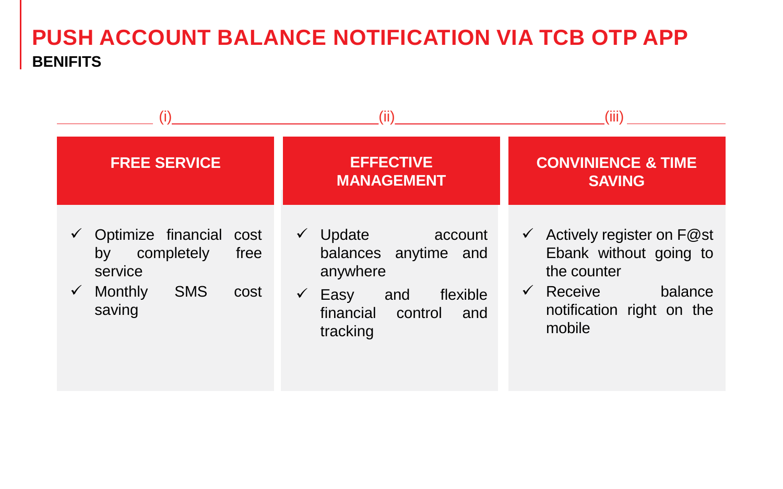## **PUSH ACCOUNT BALANCE NOTIFICATION VIA TCB OTP APP BENIFITS**

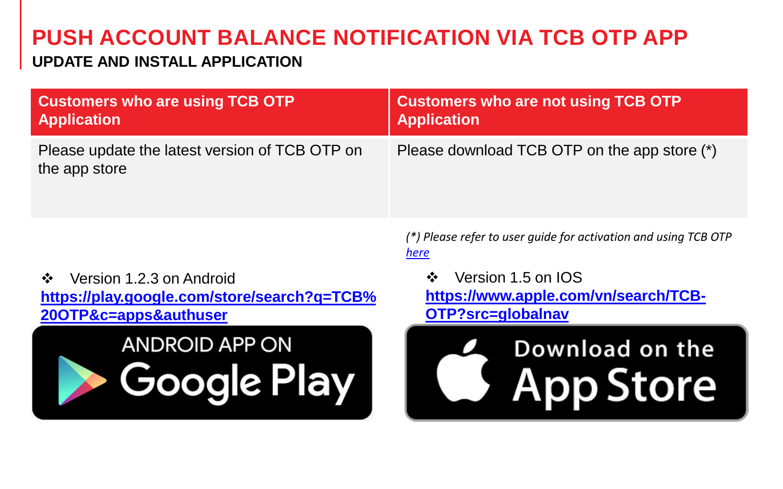## **PUSH ACCOUNT BALANCE NOTIFICATION VIA TCB OTP APP**

### **UPDATE AND INSTALL APPLICATION**

| <b>Customers who are using TCB OTP</b>                          | <b>Customers who are not using TCB OTP</b>   |
|-----------------------------------------------------------------|----------------------------------------------|
| <b>Application</b>                                              | <b>Application</b>                           |
| Please update the latest version of TCB OTP on<br>the app store | Please download TCB OTP on the app store (*) |

 Version 1.2.3 on Android **[https://play.google.com/store/search?q=TCB%](https://play.google.com/store/search?q=TCB OTP&c=apps&authuser) 20OTP&c=apps&authuser**



*(\*) Please refer to user guide for activation and using TCB OTP [here](https://www.techcombank.com.vn/khach-hang-doanh-nghiep/ngan-hang-dien-tu/phuong-thuc-xac-thuc-smart-otp-cho-khach-hang-doanh-nghiep)*

❖ Version 1.5 on IOS **[https://www.apple.com/vn/search/TCB-](https://www.apple.com/vn/search/TCB-OTP?src=globalnav)OTP?src=globalnav**

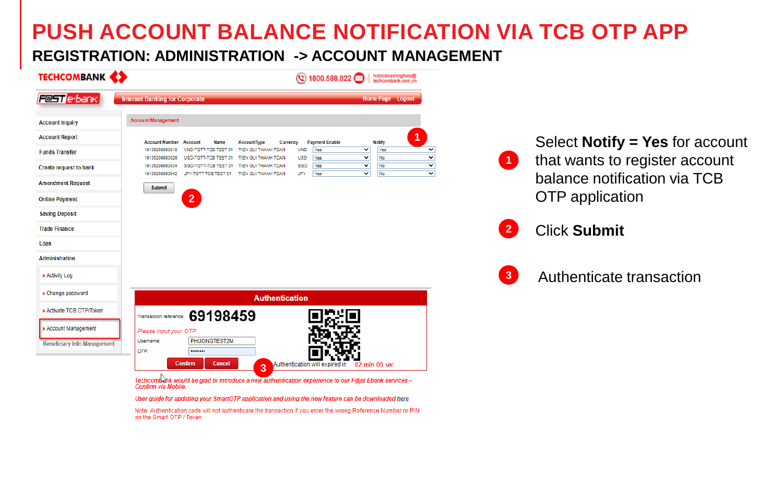## **PUSH ACCOUNT BALANCE NOTIFICATION VIA TCB OTP APP**

#### **REGISTRATION: ADMINISTRATION -> ACCOUNT MANAGEMENT**

| <b>TECHCOMBANK (2)</b>             | 1800.588.822   hotrodoanhnghiep@                                                                                                                                                                                                    |                                                                                                                                  |                                       |                                        |
|------------------------------------|-------------------------------------------------------------------------------------------------------------------------------------------------------------------------------------------------------------------------------------|----------------------------------------------------------------------------------------------------------------------------------|---------------------------------------|----------------------------------------|
| <b>Fest</b> e-bank                 | <b>Internet Banking for Corporate</b>                                                                                                                                                                                               | <b>Home Page Logout</b>                                                                                                          |                                       |                                        |
| <b>Account Inquiry</b>             | <b>Account Management</b>                                                                                                                                                                                                           |                                                                                                                                  |                                       |                                        |
| <b>Account Report</b>              |                                                                                                                                                                                                                                     |                                                                                                                                  |                                       |                                        |
| <b>Funds Transfer</b>              | <b>Payment Enable</b><br><b>Account Number Account</b><br>Name<br><b>AccountType</b><br>Currency<br><b>VND</b><br>Yes<br>19135209863018<br><b>THANH TOAN</b><br><b>USD</b>                                                          | <b>Notify</b><br>$\overline{\mathsf{v}}$<br>Yes<br>$\overline{\mathbf{v}}$<br>$\overline{\mathbf{v}}$<br>$\overline{\mathbf{v}}$ |                                       | Select <b>Notify = Yes</b> for account |
| <b>Create request to bank</b>      | Yes<br>19135209863026<br>TIEN GUI THANH TOAN<br>USD-TGTT-TCB TEST 01<br>SGD<br>19135209863034<br>SGD-TGTT-TCB TEST 01 TIEN GUI THANH TOAN<br><b>Yes</b><br>JPY<br>19135209863042<br>JPY-TGTT-TCB TEST 01 TIEN GUI THANH TOAN<br>Yes | No<br>$\overline{\mathsf{v}}$<br>No<br>$\overline{\mathbf{v}}$<br>$\overline{\mathbf{v}}$<br>$\overline{\mathbf{v}}$<br>No       | $\vert$ 1                             | that wants to register account         |
| <b>Amendment Request</b>           | <b>Submit</b>                                                                                                                                                                                                                       |                                                                                                                                  |                                       | balance notification via TCB           |
| <b>Online Payment</b>              | 2 <sup>2</sup>                                                                                                                                                                                                                      |                                                                                                                                  | OTP application                       |                                        |
| <b>Saving Deposit</b>              |                                                                                                                                                                                                                                     |                                                                                                                                  |                                       |                                        |
| <b>Trade Finance</b>               |                                                                                                                                                                                                                                     |                                                                                                                                  | $\overline{2}$<br><b>Click Submit</b> |                                        |
| Loan                               |                                                                                                                                                                                                                                     |                                                                                                                                  |                                       |                                        |
| Administration                     |                                                                                                                                                                                                                                     |                                                                                                                                  |                                       |                                        |
| <b>* Activity Log</b>              |                                                                                                                                                                                                                                     |                                                                                                                                  | $\overline{3}$                        | Authenticate transaction               |
| • Change password                  | <b>Authentication</b>                                                                                                                                                                                                               |                                                                                                                                  |                                       |                                        |
| <b>Activate TCB OTP/Token</b>      | 69198459<br>Transaction reference:                                                                                                                                                                                                  |                                                                                                                                  |                                       |                                        |
| <b>Account Management</b>          | Please input your OTP                                                                                                                                                                                                               |                                                                                                                                  |                                       |                                        |
| <b>Beneficiary Info Management</b> | PHUONGTEST2M<br>Username:<br>OTP:<br>                                                                                                                                                                                               |                                                                                                                                  |                                       |                                        |
|                                    | Confirm<br>Cancel<br>Authentication will expired in<br>3                                                                                                                                                                            | 02 min 00 sec                                                                                                                    |                                       |                                        |
|                                    | Techcomb thk would be glad to introduce a new authentication experience to our F@st Ebank services -<br>Confirm via Mobile.                                                                                                         |                                                                                                                                  |                                       |                                        |

User guide for updating your SmartOTP application and using the new feature can be downloaded here

Note: Authentication code will not authenticate the transaction if you enter the wrong Reference Number or PIN on the Smart OTP / Token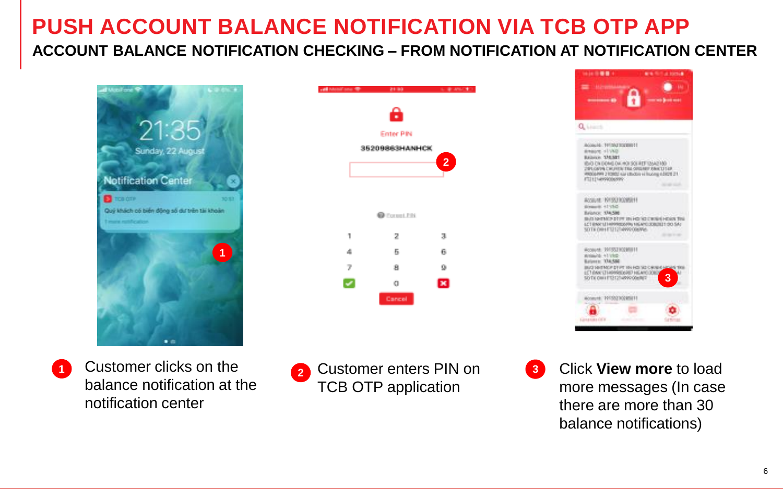## **PUSH ACCOUNT BALANCE NOTIFICATION VIA TCB OTP APP ACCOUNT BALANCE NOTIFICATION CHECKING – FROM NOTIFICATION AT NOTIFICATION CENTER**







**1** Customer clicks on the balance notification at the notification center



**3** Click **View more** to load more messages (In case there are more than 30 balance notifications)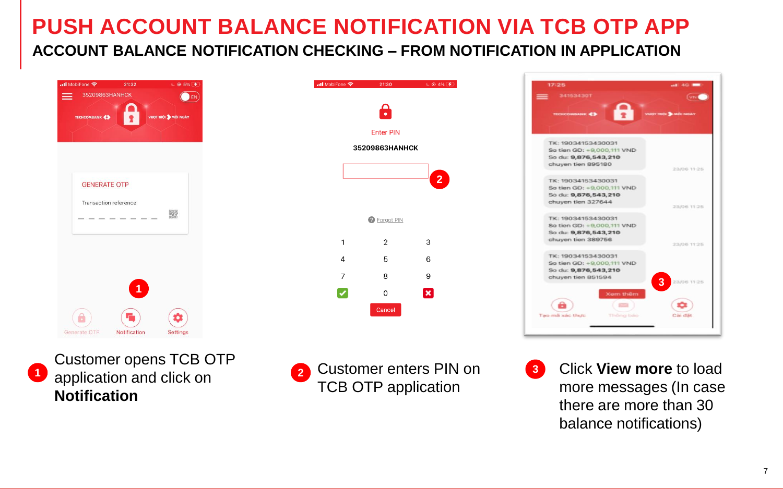## **PUSH ACCOUNT BALANCE NOTIFICATION VIA TCB OTP APP ACCOUNT BALANCE NOTIFICATION CHECKING – FROM NOTIFICATION IN APPLICATION**







**<sup>2</sup>** Customer enters PIN on TCB OTP application



**3** Click **View more** to load more messages (In case there are more than 30 balance notifications)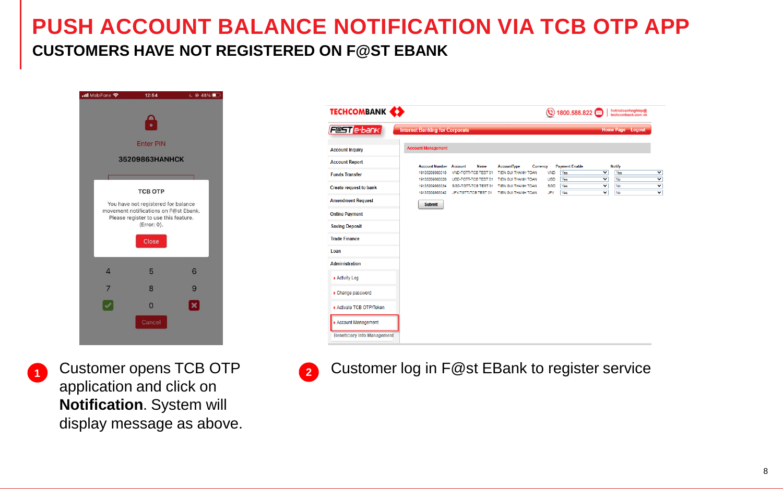## **PUSH ACCOUNT BALANCE NOTIFICATION VIA TCB OTP APP CUSTOMERS HAVE NOT REGISTERED ON F@ST EBANK**



| <b>TECHCOMBANK (2)</b>             |                                       |                                                                                      |                         |                   | ◯ 1800.588.822 <b>◯</b> |                                                    | hotrodoanhnghiep@<br>techcombank.com.vn |   |
|------------------------------------|---------------------------------------|--------------------------------------------------------------------------------------|-------------------------|-------------------|-------------------------|----------------------------------------------------|-----------------------------------------|---|
| <b>Festle</b> -bank                | <b>Internet Banking for Corporate</b> |                                                                                      |                         |                   |                         |                                                    | Home Page Logout                        |   |
| <b>Account Inquiry</b>             | <b>Account Management</b>             |                                                                                      |                         |                   |                         |                                                    |                                         |   |
| <b>Account Report</b>              | <b>Account Number Account</b>         | <b>Name</b>                                                                          | AccountType<br>Currency |                   | <b>Payment Enable</b>   |                                                    | <b>Notify</b>                           |   |
| <b>Funds Transfer</b>              | 19135209863018                        | VND-TGTT-TCB TEST 01                                                                 | TIEN GUI THANH TOAN     | <b>VND</b>        | Yes                     | $\overline{\mathsf{v}}$                            | Yes                                     |   |
|                                    | 19135209863026                        | USD-TGTT-TCB TEST 01 TIEN GUI THANH TOAN                                             |                         | <b>USD</b>        | Yes                     | $\check{ }$                                        | No                                      |   |
| Create request to bank             | 19135209863034<br>19135209863042      | SGD-TGTT-TCB TEST 01 TIEN GUI THANH TOAN<br>JPY-TGTT-TCB TEST 01 TIEN GUI THANH TOAN |                         | <b>SGD</b><br>JPY | Yes<br>Yes              | $\overline{\mathbf{v}}$<br>$\overline{\mathsf{v}}$ | No<br>No                                | ٦ |
| <b>Amendment Request</b>           | <b>Submit</b>                         |                                                                                      |                         |                   |                         |                                                    |                                         |   |
| <b>Online Payment</b>              |                                       |                                                                                      |                         |                   |                         |                                                    |                                         |   |
| <b>Saving Deposit</b>              |                                       |                                                                                      |                         |                   |                         |                                                    |                                         |   |
| <b>Trade Finance</b>               |                                       |                                                                                      |                         |                   |                         |                                                    |                                         |   |
| Loan                               |                                       |                                                                                      |                         |                   |                         |                                                    |                                         |   |
| <b>Administration</b>              |                                       |                                                                                      |                         |                   |                         |                                                    |                                         |   |
| <b>Activity Log</b>                |                                       |                                                                                      |                         |                   |                         |                                                    |                                         |   |
| • Change password                  |                                       |                                                                                      |                         |                   |                         |                                                    |                                         |   |
| Activate TCB OTP/Token             |                                       |                                                                                      |                         |                   |                         |                                                    |                                         |   |
| <b>Account Management</b>          |                                       |                                                                                      |                         |                   |                         |                                                    |                                         |   |
| <b>Beneficiary Info Management</b> |                                       |                                                                                      |                         |                   |                         |                                                    |                                         |   |



**1** Customer opens TCB OTP application and click on **Notification**. System will display message as above. **2** Customer log in F@st EBank to register service